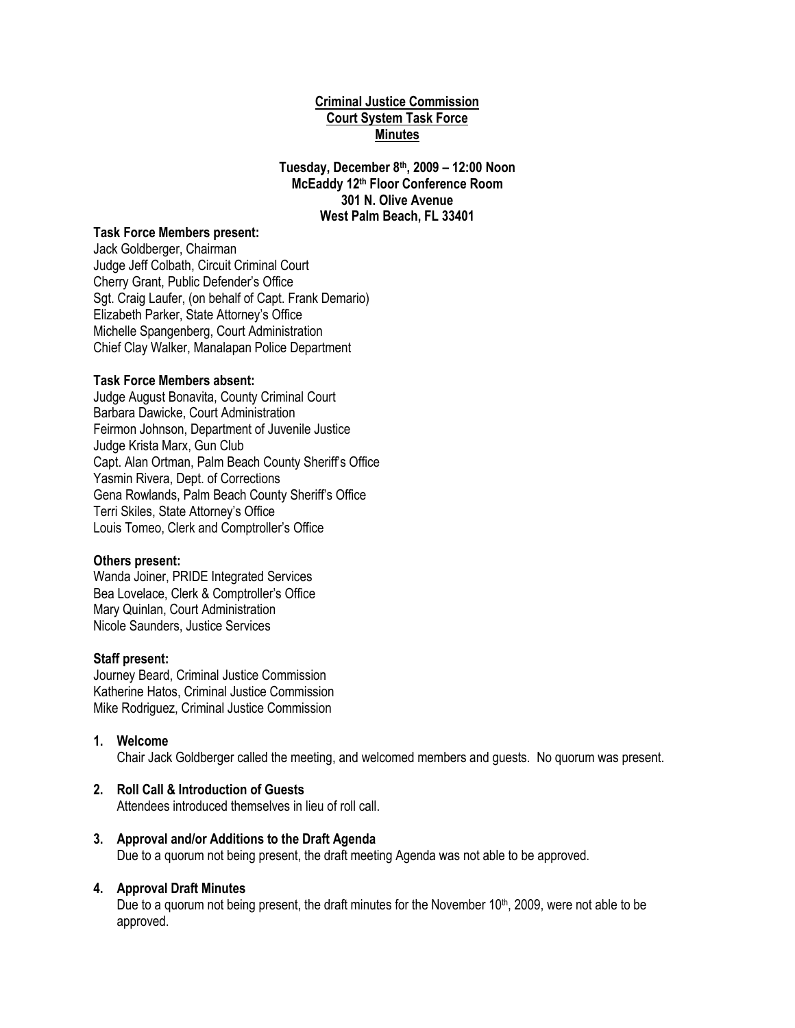# **Criminal Justice Commission Court System Task Force Minutes**

**Tuesday, December 8th, 2009 – 12:00 Noon McEaddy 12th Floor Conference Room 301 N. Olive Avenue West Palm Beach, FL 33401**

#### **Task Force Members present:**

Jack Goldberger, Chairman Judge Jeff Colbath, Circuit Criminal Court Cherry Grant, Public Defender's Office Sgt. Craig Laufer, (on behalf of Capt. Frank Demario) Elizabeth Parker, State Attorney's Office Michelle Spangenberg, Court Administration Chief Clay Walker, Manalapan Police Department

## **Task Force Members absent:**

Judge August Bonavita, County Criminal Court Barbara Dawicke, Court Administration Feirmon Johnson, Department of Juvenile Justice Judge Krista Marx, Gun Club Capt. Alan Ortman, Palm Beach County Sheriff's Office Yasmin Rivera, Dept. of Corrections Gena Rowlands, Palm Beach County Sheriff's Office Terri Skiles, State Attorney's Office Louis Tomeo, Clerk and Comptroller's Office

## **Others present:**

Wanda Joiner, PRIDE Integrated Services Bea Lovelace, Clerk & Comptroller's Office Mary Quinlan, Court Administration Nicole Saunders, Justice Services

# **Staff present:**

Journey Beard, Criminal Justice Commission Katherine Hatos, Criminal Justice Commission Mike Rodriguez, Criminal Justice Commission

## **1. Welcome**

Chair Jack Goldberger called the meeting, and welcomed members and guests. No quorum was present.

# **2. Roll Call & Introduction of Guests**

Attendees introduced themselves in lieu of roll call.

# **3. Approval and/or Additions to the Draft Agenda**

Due to a quorum not being present, the draft meeting Agenda was not able to be approved.

## **4. Approval Draft Minutes**

Due to a quorum not being present, the draft minutes for the November  $10<sup>th</sup>$ , 2009, were not able to be approved.